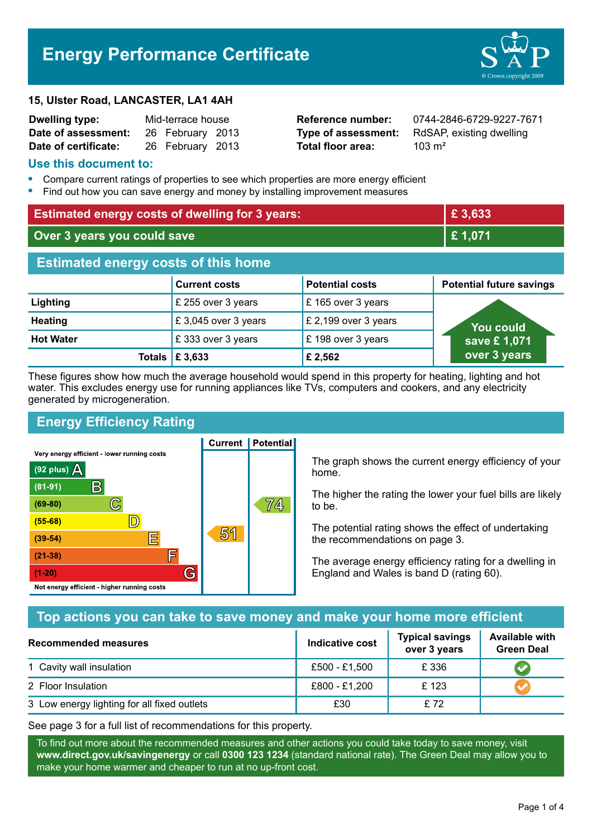# **Energy Performance Certificate**

#### **15, Ulster Road, LANCASTER, LA1 4AH**

| <b>Dwelling type:</b> | Mid-terrace house |                  |  |
|-----------------------|-------------------|------------------|--|
| Date of assessment:   |                   | 26 February 2013 |  |
| Date of certificate:  |                   | 26 February 2013 |  |

**Total floor area:** 2013 m<sup>2</sup>

**Reference number:** 0744-2846-6729-9227-7671 **Type of assessment:** RdSAP, existing dwelling

#### **Use this document to:**

- **•** Compare current ratings of properties to see which properties are more energy efficient
- **•** Find out how you can save energy and money by installing improvement measures

| <b>Estimated energy costs of dwelling for 3 years:</b> |                      |                        | £3,633                          |
|--------------------------------------------------------|----------------------|------------------------|---------------------------------|
| Over 3 years you could save                            |                      | £1,071                 |                                 |
| <b>Estimated energy costs of this home</b>             |                      |                        |                                 |
|                                                        | <b>Current costs</b> | <b>Potential costs</b> | <b>Potential future savings</b> |
| Lighting                                               | £ 255 over 3 years   | £165 over 3 years      |                                 |
| <b>Heating</b>                                         | £3,045 over 3 years  | £ 2,199 over 3 years   | <b>You could</b>                |
| <b>Hot Water</b>                                       | £333 over 3 years    | £198 over 3 years      | save £1,071                     |
| Totals                                                 | £ 3,633              | £ 2,562                | over 3 years                    |

These figures show how much the average household would spend in this property for heating, lighting and hot water. This excludes energy use for running appliances like TVs, computers and cookers, and any electricity generated by microgeneration.

# **Energy Efficiency Rating**

**Current | Potential** 



The graph shows the current energy efficiency of your home.

The higher the rating the lower your fuel bills are likely to be.

The potential rating shows the effect of undertaking the recommendations on page 3.

The average energy efficiency rating for a dwelling in England and Wales is band D (rating 60).

## **Top actions you can take to save money and make your home more efficient**

| <b>Recommended measures</b>                 | Indicative cost | <b>Typical savings</b><br>over 3 years | <b>Available with</b><br><b>Green Deal</b> |
|---------------------------------------------|-----------------|----------------------------------------|--------------------------------------------|
| 1 Cavity wall insulation                    | £500 - £1,500   | £ 336                                  |                                            |
| 2 Floor Insulation                          | £800 - £1,200   | £123                                   |                                            |
| 3 Low energy lighting for all fixed outlets | £30             | £ 72                                   |                                            |

See page 3 for a full list of recommendations for this property.

To find out more about the recommended measures and other actions you could take today to save money, visit **www.direct.gov.uk/savingenergy** or call **0300 123 1234** (standard national rate). The Green Deal may allow you to make your home warmer and cheaper to run at no up-front cost.

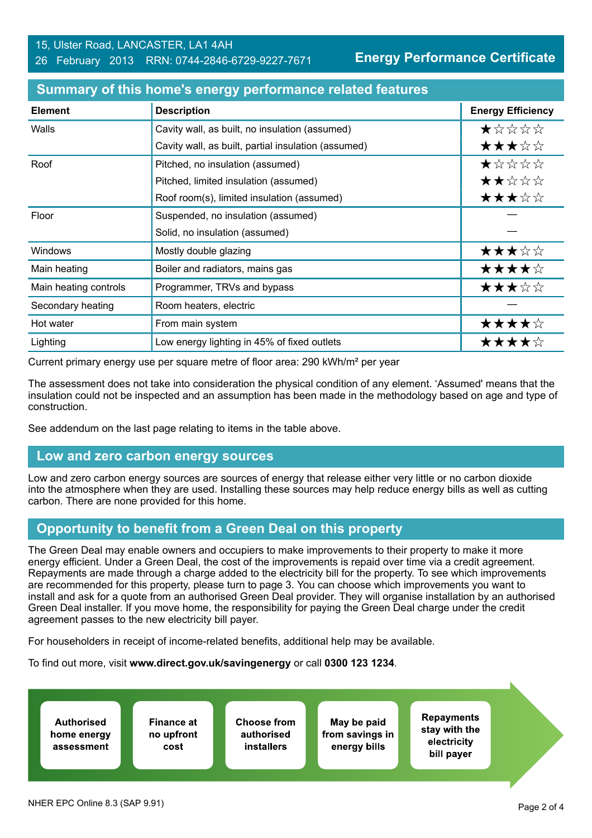### 15, Ulster Road, LANCASTER, LA1 4AH 26 February 2013 RRN: 0744-2846-6729-9227-7671

**Energy Performance Certificate**

| <b>Element</b>        | <b>Description</b>                                  | <b>Energy Efficiency</b> |
|-----------------------|-----------------------------------------------------|--------------------------|
| Walls                 | Cavity wall, as built, no insulation (assumed)      | ★☆☆☆☆                    |
|                       | Cavity wall, as built, partial insulation (assumed) | ★★★☆☆                    |
| Roof                  | Pitched, no insulation (assumed)                    | ★☆☆☆☆                    |
|                       | Pitched, limited insulation (assumed)               | ★★☆☆☆                    |
|                       | Roof room(s), limited insulation (assumed)          | ★★★☆☆                    |
| Floor                 | Suspended, no insulation (assumed)                  |                          |
|                       | Solid, no insulation (assumed)                      |                          |
| <b>Windows</b>        | Mostly double glazing                               | ★★★☆☆                    |
| Main heating          | Boiler and radiators, mains gas                     | ★★★★☆                    |
| Main heating controls | Programmer, TRVs and bypass                         | ★★★☆☆                    |
| Secondary heating     | Room heaters, electric                              |                          |
| Hot water             | From main system                                    | ★★★★☆                    |
| Lighting              | Low energy lighting in 45% of fixed outlets         | ★★★★☆                    |

#### **Summary of this home's energy performance related features**

Current primary energy use per square metre of floor area: 290 kWh/m² per year

The assessment does not take into consideration the physical condition of any element. 'Assumed' means that the insulation could not be inspected and an assumption has been made in the methodology based on age and type of construction.

See addendum on the last page relating to items in the table above.

#### **Low and zero carbon energy sources**

Low and zero carbon energy sources are sources of energy that release either very little or no carbon dioxide into the atmosphere when they are used. Installing these sources may help reduce energy bills as well as cutting carbon. There are none provided for this home.

## **Opportunity to benefit from a Green Deal on this property**

The Green Deal may enable owners and occupiers to make improvements to their property to make it more energy efficient. Under a Green Deal, the cost of the improvements is repaid over time via a credit agreement. Repayments are made through a charge added to the electricity bill for the property. To see which improvements are recommended for this property, please turn to page 3. You can choose which improvements you want to install and ask for a quote from an authorised Green Deal provider. They will organise installation by an authorised Green Deal installer. If you move home, the responsibility for paying the Green Deal charge under the credit agreement passes to the new electricity bill payer.

For householders in receipt of income-related benefits, additional help may be available.

To find out more, visit **www.direct.gov.uk/savingenergy** or call **0300 123 1234**.

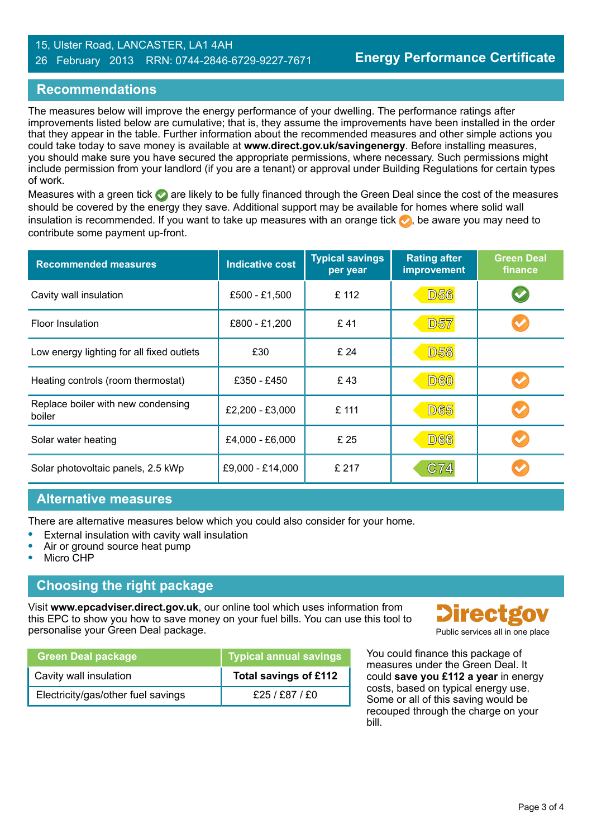#### 15, Ulster Road, LANCASTER, LA1 4AH 26 February 2013 RRN: 0744-2846-6729-9227-7671

## **Recommendations**

The measures below will improve the energy performance of your dwelling. The performance ratings after improvements listed below are cumulative; that is, they assume the improvements have been installed in the order that they appear in the table. Further information about the recommended measures and other simple actions you could take today to save money is available at **www.direct.gov.uk/savingenergy**. Before installing measures, you should make sure you have secured the appropriate permissions, where necessary. Such permissions might include permission from your landlord (if you are a tenant) or approval under Building Regulations for certain types of work.

Measures with a green tick  $\bullet$  are likely to be fully financed through the Green Deal since the cost of the measures should be covered by the energy they save. Additional support may be available for homes where solid wall insulation is recommended. If you want to take up measures with an orange tick  $\bullet$ , be aware you may need to contribute some payment up-front.

| <b>Recommended measures</b>                  | <b>Typical savings</b><br><b>Indicative cost</b><br>per year |       | <b>Rating after</b><br><b>improvement</b> | <b>Green Deal</b><br>finance |
|----------------------------------------------|--------------------------------------------------------------|-------|-------------------------------------------|------------------------------|
| Cavity wall insulation                       | £500 - £1,500                                                | £ 112 | <b>D56</b>                                |                              |
| <b>Floor Insulation</b>                      | £800 - £1,200                                                | £41   | <b>D57</b>                                |                              |
| Low energy lighting for all fixed outlets    | £30                                                          | £ 24  | <b>D58</b>                                |                              |
| Heating controls (room thermostat)           | £350 - £450                                                  | £43   | <b>D60</b>                                |                              |
| Replace boiler with new condensing<br>boiler | £2,200 - £3,000                                              | £ 111 | <b>D65</b>                                |                              |
| Solar water heating                          | £4,000 - £6,000                                              | £ 25  | <b>D66</b>                                |                              |
| Solar photovoltaic panels, 2.5 kWp           | £9,000 - £14,000                                             | £ 217 | C74                                       |                              |

## **Alternative measures**

There are alternative measures below which you could also consider for your home.

- **•** External insulation with cavity wall insulation
- **•** Air or ground source heat pump
- **•** Micro CHP

## **Choosing the right package**

Visit **www.epcadviser.direct.gov.uk**, our online tool which uses information from this EPC to show you how to save money on your fuel bills. You can use this tool to personalise your Green Deal package. **Public services all in one place** part of the place of the place of the place

| <b>Green Deal package</b>          | <b>Typical annual savings</b> |
|------------------------------------|-------------------------------|
| Cavity wall insulation             | Total savings of £112         |
| Electricity/gas/other fuel savings | £25/£87/£0                    |



You could finance this package of measures under the Green Deal. It could **save you £112 a year** in energy costs, based on typical energy use. Some or all of this saving would be recouped through the charge on your bill.